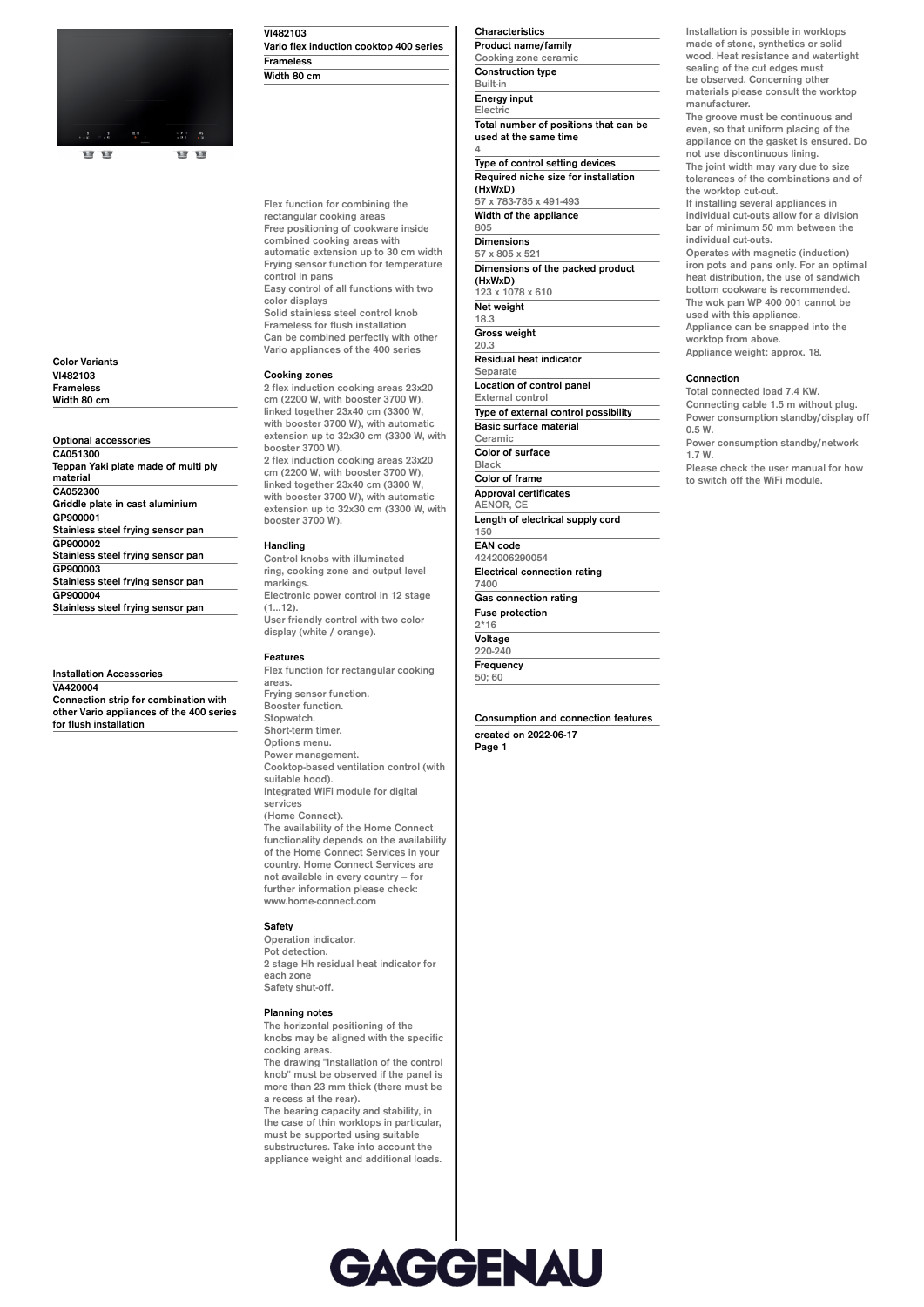

**Color Variants VI482103 Frameless Width 80 cm**

**Optional accessories CA051300 Teppan Yaki plate made of multi ply material CA052300 Griddle plate in cast aluminium GP900001 Stainless steel frying sensor pan GP900002 Stainless steel frying sensor pan GP900003 Stainless steel frying sensor pan GP900004 Stainless steel frying sensor pan**

**Installation Accessories VA420004 Connection strip for combination with other Vario appliances of the 400 series for flush installation**

## **VI482103**

**Vario flex induction cooktop 400 series Frameless Width 80 cm**

# **Flex function for combining the rectangular cooking areas**

**Free positioning of cookware inside combined cooking areas with automatic extension up to 30 cm width Frying sensor function for temperature control in pans Easy control of all functions with two color displays**

**Solid stainless steel control knob Frameless for flush installation Can be combined perfectly with other Vario appliances of the 400 series**

### **Cooking zones**

**2 flex induction cooking areas 23x20 cm (2200 W, with booster 3700 W), linked together 23x40 cm (3300 W, with booster 3700 W), with automatic extension up to 32x30 cm (3300 W, with booster 3700 W). 2 flex induction cooking areas 23x20 cm (2200 W, with booster 3700 W), linked together 23x40 cm (3300 W, with booster 3700 W), with automatic extension up to 32x30 cm (3300 W, with booster 3700 W).**

## **Handling**

**Control knobs with illuminated ring, cooking zone and output level markings. Electronic power control in 12 stage (1…12). User friendly control with two color**

**display (white / orange).**

# **Features**

**Flex function for rectangular cooking areas. Frying sensor function. Booster function. Stopwatch. Short-term timer. Options menu. Power management. Cooktop-based ventilation control (with suitable hood). Integrated WiFi module for digital services (Home Connect). The availability of the Home Connect functionality depends on the availability of the Home Connect Services in your country. Home Connect Services are**

**not available in every country – for further information please check: www.home-connect.com**

# **Safety**

**Operation indicator. Pot detection. 2 stage Hh residual heat indicator for each zone Safety shut-off.**

### **Planning notes**

**The horizontal positioning of the knobs may be aligned with the specific cooking areas. The drawing "Installation of the control knob" must be observed if the panel is more than 23 mm thick (there must be a recess at the rear). The bearing capacity and stability, in the case of thin worktops in particular,**

### **must be supported using suitable substructures. Take into account the appliance weight and additional loads.**

## **Characteristics**

**4**

**Product name/family Cooking zone ceramic Construction type Built-in Energy input Electric**

**Total number of positions that can be used at the same time**

**Type of control setting devices Required niche size for installation (HxWxD) 57 x 783-785 x 491-493**

**Width of the appliance 805 Dimensions 57 x 805 x 521 Dimensions of the packed product (HxWxD) 123 x 1078 x 610 Net weight 18.3 Gross weight 20.3 Residual heat indicator Separate Location of control panel External control Type of external control possibility Basic surface material Ceramic Color of surface Black Color of frame Approval certificates AENOR, CE**

**Length of electrical supply cord 150 EAN code 4242006290054 Electrical connection rating 7400 Gas connection rating**

**Fuse protection 2\*16**

**Voltage 220-240 Frequency**

**50; 60**

**Consumption and connection features created on 2022-06-17**

**Page 1**

**Installation is possible in worktops made of stone, synthetics or solid wood. Heat resistance and watertight sealing of the cut edges must be observed. Concerning other materials please consult the worktop manufacturer. The groove must be continuous and even, so that uniform placing of the appliance on the gasket is ensured. Do not use discontinuous lining. The joint width may vary due to size tolerances of the combinations and of the worktop cut-out. If installing several appliances in individual cut-outs allow for a division bar of minimum 50 mm between the individual cut-outs. Operates with magnetic (induction) iron pots and pans only. For an optimal heat distribution, the use of sandwich bottom cookware is recommended. The wok pan WP 400 001 cannot be used with this appliance.**

**worktop from above. Appliance weight: approx. 18.**

## **Connection**

**Total connected load 7.4 KW. Connecting cable 1.5 m without plug. Power consumption standby/display off 0.5 W.**

**Power consumption standby/network 1.7 W.**

**Appliance can be snapped into the**

**Please check the user manual for how to switch off the WiFi module.**